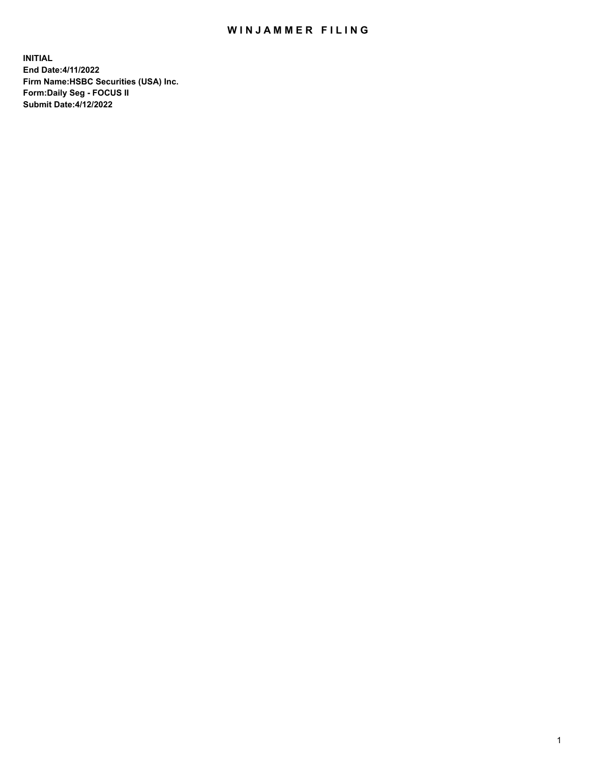## WIN JAMMER FILING

**INITIAL End Date:4/11/2022 Firm Name:HSBC Securities (USA) Inc. Form:Daily Seg - FOCUS II Submit Date:4/12/2022**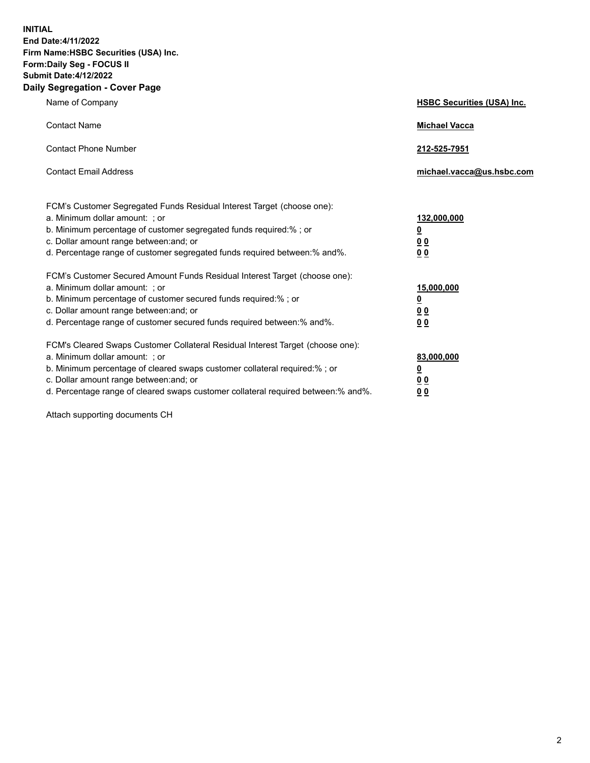**INITIAL End Date:4/11/2022 Firm Name:HSBC Securities (USA) Inc. Form:Daily Seg - FOCUS II Submit Date:4/12/2022 Daily Segregation - Cover Page**

| Name of Company                                                                                                                                                                                                                                                                                                                | <b>HSBC Securities (USA) Inc.</b>                              |
|--------------------------------------------------------------------------------------------------------------------------------------------------------------------------------------------------------------------------------------------------------------------------------------------------------------------------------|----------------------------------------------------------------|
| <b>Contact Name</b>                                                                                                                                                                                                                                                                                                            | <b>Michael Vacca</b>                                           |
| <b>Contact Phone Number</b>                                                                                                                                                                                                                                                                                                    | 212-525-7951                                                   |
| <b>Contact Email Address</b>                                                                                                                                                                                                                                                                                                   | michael.vacca@us.hsbc.com                                      |
| FCM's Customer Segregated Funds Residual Interest Target (choose one):<br>a. Minimum dollar amount: ; or<br>b. Minimum percentage of customer segregated funds required:%; or<br>c. Dollar amount range between: and; or<br>d. Percentage range of customer segregated funds required between:% and%.                          | 132,000,000<br>$\overline{\mathbf{0}}$<br>0 <sub>0</sub><br>00 |
| FCM's Customer Secured Amount Funds Residual Interest Target (choose one):<br>a. Minimum dollar amount: ; or<br>b. Minimum percentage of customer secured funds required:%; or<br>c. Dollar amount range between: and; or<br>d. Percentage range of customer secured funds required between:% and%.                            | 15,000,000<br><u>0</u><br>0 <sub>0</sub><br>00                 |
| FCM's Cleared Swaps Customer Collateral Residual Interest Target (choose one):<br>a. Minimum dollar amount: ; or<br>b. Minimum percentage of cleared swaps customer collateral required:% ; or<br>c. Dollar amount range between: and; or<br>d. Percentage range of cleared swaps customer collateral required between:% and%. | 83,000,000<br><u>0</u><br><u>00</u><br>00                      |

Attach supporting documents CH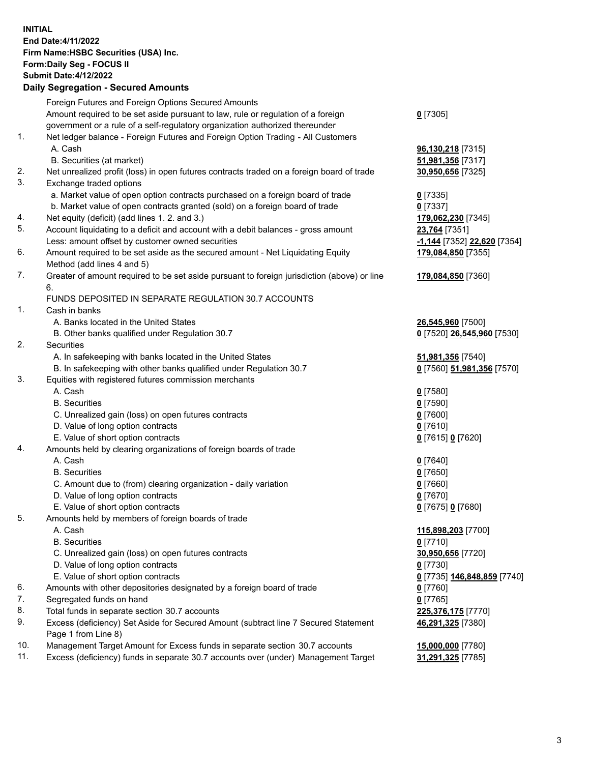**INITIAL End Date:4/11/2022 Firm Name:HSBC Securities (USA) Inc. Form:Daily Seg - FOCUS II Submit Date:4/12/2022**

## **Daily Segregation - Secured Amounts** Foreign Futures and Foreign Options Secured Amounts Amount required to be set aside pursuant to law, rule or regulation of a foreign government or a rule of a self-regulatory organization authorized thereunder **0** [7305] 1. Net ledger balance - Foreign Futures and Foreign Option Trading - All Customers A. Cash **96,130,218** [7315] B. Securities (at market) **51,981,356** [7317] 2. Net unrealized profit (loss) in open futures contracts traded on a foreign board of trade **30,950,656** [7325] 3. Exchange traded options a. Market value of open option contracts purchased on a foreign board of trade **0** [7335] b. Market value of open contracts granted (sold) on a foreign board of trade **0** [7337] 4. Net equity (deficit) (add lines 1. 2. and 3.) **179,062,230** [7345] 5. Account liquidating to a deficit and account with a debit balances - gross amount **23,764** [7351] Less: amount offset by customer owned securities **-1,144** [7352] **22,620** [7354] 6. Amount required to be set aside as the secured amount - Net Liquidating Equity Method (add lines 4 and 5) **179,084,850** [7355] 7. Greater of amount required to be set aside pursuant to foreign jurisdiction (above) or line 6. **179,084,850** [7360] FUNDS DEPOSITED IN SEPARATE REGULATION 30.7 ACCOUNTS 1. Cash in banks A. Banks located in the United States **26,545,960** [7500] B. Other banks qualified under Regulation 30.7 **0** [7520] **26,545,960** [7530] 2. Securities A. In safekeeping with banks located in the United States **51,981,356** [7540] B. In safekeeping with other banks qualified under Regulation 30.7 **0** [7560] **51,981,356** [7570] 3. Equities with registered futures commission merchants A. Cash **0** [7580] B. Securities **0** [7590] C. Unrealized gain (loss) on open futures contracts **0** [7600] D. Value of long option contracts **0** [7610] E. Value of short option contracts **0** [7615] **0** [7620] 4. Amounts held by clearing organizations of foreign boards of trade A. Cash **0** [7640] B. Securities **0** [7650] C. Amount due to (from) clearing organization - daily variation **0** [7660] D. Value of long option contracts **0** [7670] E. Value of short option contracts **0** [7675] **0** [7680] 5. Amounts held by members of foreign boards of trade A. Cash **115,898,203** [7700] B. Securities **0** [7710] C. Unrealized gain (loss) on open futures contracts **30,950,656** [7720] D. Value of long option contracts **0** [7730] E. Value of short option contracts **0** [7735] **146,848,859** [7740] 6. Amounts with other depositories designated by a foreign board of trade **0** [7760] 7. Segregated funds on hand **0** [7765] 8. Total funds in separate section 30.7 accounts **225,376,175** [7770] 9. Excess (deficiency) Set Aside for Secured Amount (subtract line 7 Secured Statement Page 1 from Line 8) **46,291,325** [7380] 10. Management Target Amount for Excess funds in separate section 30.7 accounts **15,000,000** [7780] 11. Excess (deficiency) funds in separate 30.7 accounts over (under) Management Target **31,291,325** [7785]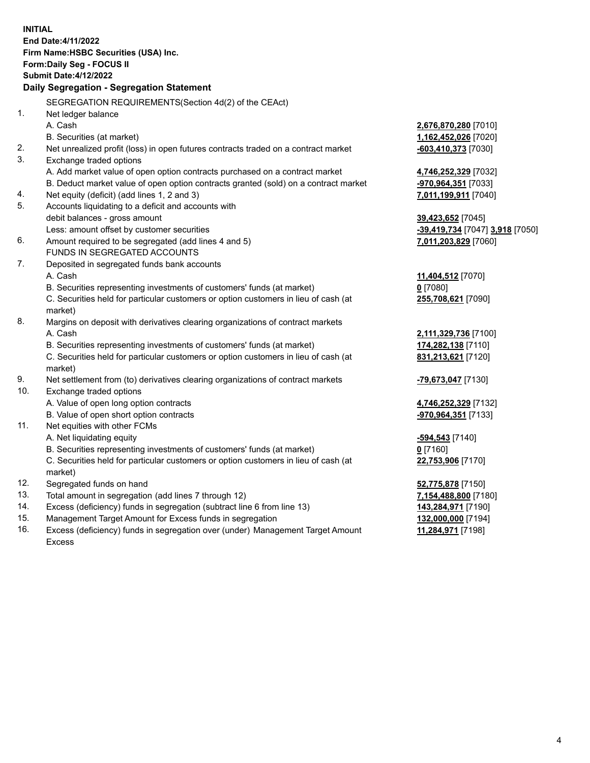**INITIAL End Date:4/11/2022 Firm Name:HSBC Securities (USA) Inc. Form:Daily Seg - FOCUS II Submit Date:4/12/2022 Daily Segregation - Segregation Statement** SEGREGATION REQUIREMENTS(Section 4d(2) of the CEAct) 1. Net ledger balance A. Cash **2,676,870,280** [7010] B. Securities (at market) **1,162,452,026** [7020] 2. Net unrealized profit (loss) in open futures contracts traded on a contract market **-603,410,373** [7030] 3. Exchange traded options A. Add market value of open option contracts purchased on a contract market **4,746,252,329** [7032] B. Deduct market value of open option contracts granted (sold) on a contract market **-970,964,351** [7033] 4. Net equity (deficit) (add lines 1, 2 and 3) **7,011,199,911** [7040] 5. Accounts liquidating to a deficit and accounts with debit balances - gross amount **39,423,652** [7045] Less: amount offset by customer securities **-39,419,734** [7047] **3,918** [7050] 6. Amount required to be segregated (add lines 4 and 5) **7,011,203,829** [7060] FUNDS IN SEGREGATED ACCOUNTS 7. Deposited in segregated funds bank accounts A. Cash **11,404,512** [7070] B. Securities representing investments of customers' funds (at market) **0** [7080] C. Securities held for particular customers or option customers in lieu of cash (at market) **255,708,621** [7090] 8. Margins on deposit with derivatives clearing organizations of contract markets A. Cash **2,111,329,736** [7100] B. Securities representing investments of customers' funds (at market) **174,282,138** [7110] C. Securities held for particular customers or option customers in lieu of cash (at market) **831,213,621** [7120] 9. Net settlement from (to) derivatives clearing organizations of contract markets **-79,673,047** [7130] 10. Exchange traded options A. Value of open long option contracts **4,746,252,329** [7132] B. Value of open short option contracts **-970,964,351** [7133] 11. Net equities with other FCMs A. Net liquidating equity **-594,543** [7140] B. Securities representing investments of customers' funds (at market) **0** [7160] C. Securities held for particular customers or option customers in lieu of cash (at market) **22,753,906** [7170] 12. Segregated funds on hand **52,775,878** [7150] 13. Total amount in segregation (add lines 7 through 12) **7,154,488,800** [7180] 14. Excess (deficiency) funds in segregation (subtract line 6 from line 13) **143,284,971** [7190] 15. Management Target Amount for Excess funds in segregation **132,000,000** [7194]

16. Excess (deficiency) funds in segregation over (under) Management Target Amount Excess

**11,284,971** [7198]